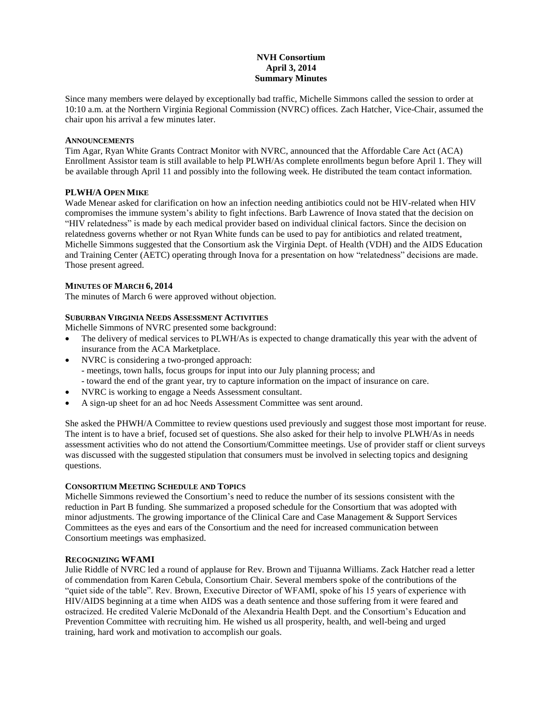# **NVH Consortium April 3, 2014 Summary Minutes**

Since many members were delayed by exceptionally bad traffic, Michelle Simmons called the session to order at 10:10 a.m. at the Northern Virginia Regional Commission (NVRC) offices. Zach Hatcher, Vice-Chair, assumed the chair upon his arrival a few minutes later.

#### **ANNOUNCEMENTS**

Tim Agar, Ryan White Grants Contract Monitor with NVRC, announced that the Affordable Care Act (ACA) Enrollment Assistor team is still available to help PLWH/As complete enrollments begun before April 1. They will be available through April 11 and possibly into the following week. He distributed the team contact information.

## **PLWH/A OPEN MIKE**

Wade Menear asked for clarification on how an infection needing antibiotics could not be HIV-related when HIV compromises the immune system's ability to fight infections. Barb Lawrence of Inova stated that the decision on "HIV relatedness" is made by each medical provider based on individual clinical factors. Since the decision on relatedness governs whether or not Ryan White funds can be used to pay for antibiotics and related treatment, Michelle Simmons suggested that the Consortium ask the Virginia Dept. of Health (VDH) and the AIDS Education and Training Center (AETC) operating through Inova for a presentation on how "relatedness" decisions are made. Those present agreed.

## **MINUTES OF MARCH 6, 2014**

The minutes of March 6 were approved without objection.

## **SUBURBAN VIRGINIA NEEDS ASSESSMENT ACTIVITIES**

Michelle Simmons of NVRC presented some background:

- The delivery of medical services to PLWH/As is expected to change dramatically this year with the advent of insurance from the ACA Marketplace.
- NVRC is considering a two-pronged approach:
	- meetings, town halls, focus groups for input into our July planning process; and
	- toward the end of the grant year, try to capture information on the impact of insurance on care.
- NVRC is working to engage a Needs Assessment consultant.
- A sign-up sheet for an ad hoc Needs Assessment Committee was sent around.

She asked the PHWH/A Committee to review questions used previously and suggest those most important for reuse. The intent is to have a brief, focused set of questions. She also asked for their help to involve PLWH/As in needs assessment activities who do not attend the Consortium/Committee meetings. Use of provider staff or client surveys was discussed with the suggested stipulation that consumers must be involved in selecting topics and designing questions.

#### **CONSORTIUM MEETING SCHEDULE AND TOPICS**

Michelle Simmons reviewed the Consortium's need to reduce the number of its sessions consistent with the reduction in Part B funding. She summarized a proposed schedule for the Consortium that was adopted with minor adjustments. The growing importance of the Clinical Care and Case Management & Support Services Committees as the eyes and ears of the Consortium and the need for increased communication between Consortium meetings was emphasized.

#### **RECOGNIZING WFAMI**

Julie Riddle of NVRC led a round of applause for Rev. Brown and Tijuanna Williams. Zack Hatcher read a letter of commendation from Karen Cebula, Consortium Chair. Several members spoke of the contributions of the "quiet side of the table". Rev. Brown, Executive Director of WFAMI, spoke of his 15 years of experience with HIV/AIDS beginning at a time when AIDS was a death sentence and those suffering from it were feared and ostracized. He credited Valerie McDonald of the Alexandria Health Dept. and the Consortium's Education and Prevention Committee with recruiting him. He wished us all prosperity, health, and well-being and urged training, hard work and motivation to accomplish our goals.